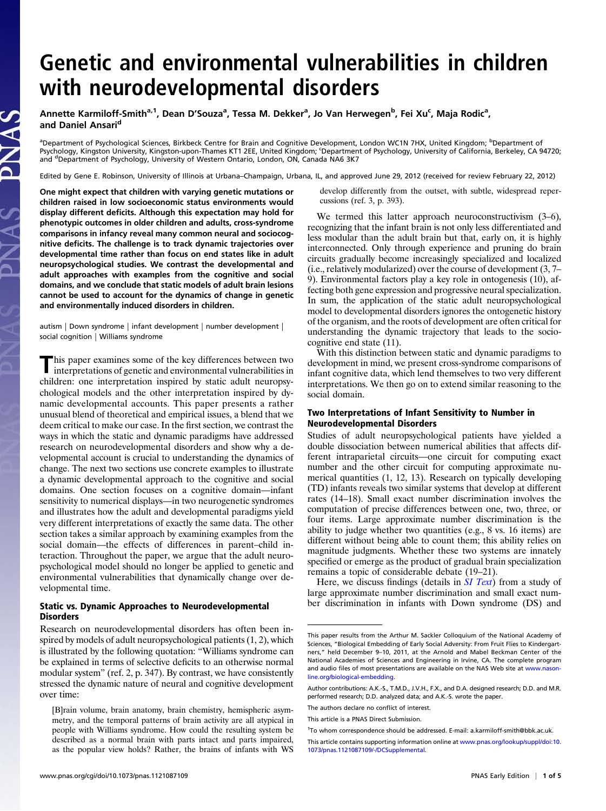# Genetic and environmental vulnerabilities in children with neurodevelopmental disorders

Annette Karmiloff-Smith<sup>a,1</sup>, Dean D'Souza<sup>a</sup>, Tessa M. Dekker<sup>a</sup>, Jo Van Herwegen<sup>b</sup>, Fei Xu<sup>c</sup>, Maja Rodic<sup>a</sup>, and Daniel Ansari<sup>d</sup>

<sup>a</sup>Department of Psychological Sciences, Birkbeck Centre for Brain and Cognitive Development, London WC1N 7HX, United Kingdom; <sup>b</sup>Department of Psychology, Kingston University, Kingston-upon-Thames KT1 2EE, United Kingdom; <sup>c</sup> Department of Psychology, University of California, Berkeley, CA 94720; and <sup>d</sup>Department of Psychology, University of Western Ontario, London, ON, Canada NA6 3K7

Edited by Gene E. Robinson, University of Illinois at Urbana–Champaign, Urbana, IL, and approved June 29, 2012 (received for review February 22, 2012)

One might expect that children with varying genetic mutations or children raised in low socioeconomic status environments would display different deficits. Although this expectation may hold for phenotypic outcomes in older children and adults, cross-syndrome comparisons in infancy reveal many common neural and sociocognitive deficits. The challenge is to track dynamic trajectories over developmental time rather than focus on end states like in adult neuropsychological studies. We contrast the developmental and adult approaches with examples from the cognitive and social domains, and we conclude that static models of adult brain lesions cannot be used to account for the dynamics of change in genetic and environmentally induced disorders in children.

autism | Down syndrome | infant development | number development | social cognition | Williams syndrome

This paper examines some of the key differences between two interpretations of genetic and environmental vulnerabilities in children: one interpretation inspired by static adult neuropsychological models and the other interpretation inspired by dynamic developmental accounts. This paper presents a rather unusual blend of theoretical and empirical issues, a blend that we deem critical to make our case. In the first section, we contrast the ways in which the static and dynamic paradigms have addressed research on neurodevelopmental disorders and show why a developmental account is crucial to understanding the dynamics of change. The next two sections use concrete examples to illustrate a dynamic developmental approach to the cognitive and social domains. One section focuses on a cognitive domain—infant sensitivity to numerical displays—in two neurogenetic syndromes and illustrates how the adult and developmental paradigms yield very different interpretations of exactly the same data. The other section takes a similar approach by examining examples from the social domain—the effects of differences in parent–child interaction. Throughout the paper, we argue that the adult neuropsychological model should no longer be applied to genetic and environmental vulnerabilities that dynamically change over developmental time.

## Static vs. Dynamic Approaches to Neurodevelopmental **Disorders**

Research on neurodevelopmental disorders has often been inspired by models of adult neuropsychological patients (1, 2), which is illustrated by the following quotation: "Williams syndrome can be explained in terms of selective deficits to an otherwise normal modular system" (ref. 2, p. 347). By contrast, we have consistently stressed the dynamic nature of neural and cognitive development over time:

develop differently from the outset, with subtle, widespread repercussions (ref. 3, p. 393).

We termed this latter approach neuroconstructivism  $(3-6)$ , recognizing that the infant brain is not only less differentiated and less modular than the adult brain but that, early on, it is highly interconnected. Only through experience and pruning do brain circuits gradually become increasingly specialized and localized (i.e., relatively modularized) over the course of development (3, 7– 9). Environmental factors play a key role in ontogenesis (10), affecting both gene expression and progressive neural specialization. In sum, the application of the static adult neuropsychological model to developmental disorders ignores the ontogenetic history of the organism, and the roots of development are often critical for understanding the dynamic trajectory that leads to the sociocognitive end state (11).

With this distinction between static and dynamic paradigms to development in mind, we present cross-syndrome comparisons of infant cognitive data, which lend themselves to two very different interpretations. We then go on to extend similar reasoning to the social domain.

## Two Interpretations of Infant Sensitivity to Number in Neurodevelopmental Disorders

Studies of adult neuropsychological patients have yielded a double dissociation between numerical abilities that affects different intraparietal circuits—one circuit for computing exact number and the other circuit for computing approximate numerical quantities (1, 12, 13). Research on typically developing (TD) infants reveals two similar systems that develop at different rates (14–18). Small exact number discrimination involves the computation of precise differences between one, two, three, or four items. Large approximate number discrimination is the ability to judge whether two quantities (e.g., 8 vs. 16 items) are different without being able to count them; this ability relies on magnitude judgments. Whether these two systems are innately specified or emerge as the product of gradual brain specialization remains a topic of considerable debate (19–21).

Here, we discuss findings (details in  $SI$  Text) from a study of large approximate number discrimination and small exact number discrimination in infants with Down syndrome (DS) and

The authors declare no conflict of interest.

<sup>[</sup>B]rain volume, brain anatomy, brain chemistry, hemispheric asymmetry, and the temporal patterns of brain activity are all atypical in people with Williams syndrome. How could the resulting system be described as a normal brain with parts intact and parts impaired, as the popular view holds? Rather, the brains of infants with WS

This paper results from the Arthur M. Sackler Colloquium of the National Academy of Sciences, "Biological Embedding of Early Social Adversity: From Fruit Flies to Kindergartners," held December 9–10, 2011, at the Arnold and Mabel Beckman Center of the National Academies of Sciences and Engineering in Irvine, CA. The complete program and audio files of most presentations are available on the NAS Web site at [www.nason](http://www.nasonline.org/biological-embedding)[line.org/biological-embedding](http://www.nasonline.org/biological-embedding).

Author contributions: A.K.-S., T.M.D., J.V.H., F.X., and D.A. designed research; D.D. and M.R. performed research; D.D. analyzed data; and A.K.-S. wrote the paper.

This article is a PNAS Direct Submission.

<sup>&</sup>lt;sup>1</sup>To whom correspondence should be addressed. E-mail: [a.karmiloff-smith@bbk.ac.uk](mailto:a.karmiloff-smith@bbk.ac.uk).

This article contains supporting information online at [www.pnas.org/lookup/suppl/doi:10.](http://www.pnas.org/lookup/suppl/doi:10.1073/pnas.1121087109/-/DCSupplemental) [1073/pnas.1121087109/-/DCSupplemental](http://www.pnas.org/lookup/suppl/doi:10.1073/pnas.1121087109/-/DCSupplemental).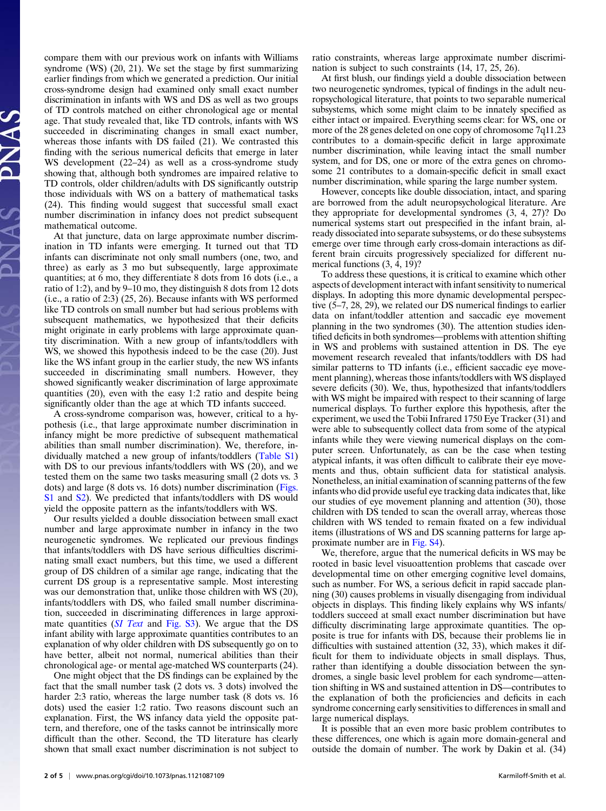compare them with our previous work on infants with Williams syndrome (WS) (20, 21). We set the stage by first summarizing earlier findings from which we generated a prediction. Our initial cross-syndrome design had examined only small exact number discrimination in infants with WS and DS as well as two groups of TD controls matched on either chronological age or mental age. That study revealed that, like TD controls, infants with WS succeeded in discriminating changes in small exact number, whereas those infants with DS failed (21). We contrasted this finding with the serious numerical deficits that emerge in later WS development (22–24) as well as a cross-syndrome study showing that, although both syndromes are impaired relative to TD controls, older children/adults with DS significantly outstrip those individuals with WS on a battery of mathematical tasks (24). This finding would suggest that successful small exact number discrimination in infancy does not predict subsequent mathematical outcome.

At that juncture, data on large approximate number discrimination in TD infants were emerging. It turned out that TD infants can discriminate not only small numbers (one, two, and three) as early as 3 mo but subsequently, large approximate quantities; at 6 mo, they differentiate 8 dots from 16 dots (i.e., a ratio of 1:2), and by 9–10 mo, they distinguish 8 dots from 12 dots (i.e., a ratio of 2:3) (25, 26). Because infants with WS performed like TD controls on small number but had serious problems with subsequent mathematics, we hypothesized that their deficits might originate in early problems with large approximate quantity discrimination. With a new group of infants/toddlers with WS, we showed this hypothesis indeed to be the case (20). Just like the WS infant group in the earlier study, the new WS infants succeeded in discriminating small numbers. However, they showed significantly weaker discrimination of large approximate quantities (20), even with the easy 1:2 ratio and despite being significantly older than the age at which TD infants succeed.

A cross-syndrome comparison was, however, critical to a hypothesis (i.e., that large approximate number discrimination in infancy might be more predictive of subsequent mathematical abilities than small number discrimination). We, therefore, individually matched a new group of infants/toddlers ([Table S1\)](http://www.pnas.org/lookup/suppl/doi:10.1073/pnas.1121087109/-/DCSupplemental/pnas.201121087SI.pdf?targetid=nameddest=ST1) with DS to our previous infants/toddlers with WS (20), and we tested them on the same two tasks measuring small (2 dots vs. 3 dots) and large (8 dots vs. 16 dots) number discrimination [\(Figs.](http://www.pnas.org/lookup/suppl/doi:10.1073/pnas.1121087109/-/DCSupplemental/pnas.201121087SI.pdf?targetid=nameddest=SF1) [S1](http://www.pnas.org/lookup/suppl/doi:10.1073/pnas.1121087109/-/DCSupplemental/pnas.201121087SI.pdf?targetid=nameddest=SF1) and [S2\)](http://www.pnas.org/lookup/suppl/doi:10.1073/pnas.1121087109/-/DCSupplemental/pnas.201121087SI.pdf?targetid=nameddest=SF2). We predicted that infants/toddlers with DS would yield the opposite pattern as the infants/toddlers with WS.

Our results yielded a double dissociation between small exact number and large approximate number in infancy in the two neurogenetic syndromes. We replicated our previous findings that infants/toddlers with DS have serious difficulties discriminating small exact numbers, but this time, we used a different group of DS children of a similar age range, indicating that the current DS group is a representative sample. Most interesting was our demonstration that, unlike those children with WS (20), infants/toddlers with DS, who failed small number discrimination, succeeded in discriminating differences in large approxi-mate quantities ([SI Text](http://www.pnas.org/lookup/suppl/doi:10.1073/pnas.1121087109/-/DCSupplemental/pnas.201121087SI.pdf?targetid=nameddest=STXT) and [Fig. S3](http://www.pnas.org/lookup/suppl/doi:10.1073/pnas.1121087109/-/DCSupplemental/pnas.201121087SI.pdf?targetid=nameddest=SF3)). We argue that the DS infant ability with large approximate quantities contributes to an explanation of why older children with DS subsequently go on to have better, albeit not normal, numerical abilities than their chronological age- or mental age-matched WS counterparts (24).

One might object that the DS findings can be explained by the fact that the small number task (2 dots vs. 3 dots) involved the harder 2:3 ratio, whereas the large number task (8 dots vs. 16 dots) used the easier 1:2 ratio. Two reasons discount such an explanation. First, the WS infancy data yield the opposite pattern, and therefore, one of the tasks cannot be intrinsically more difficult than the other. Second, the TD literature has clearly shown that small exact number discrimination is not subject to ratio constraints, whereas large approximate number discrimination is subject to such constraints (14, 17, 25, 26).

At first blush, our findings yield a double dissociation between two neurogenetic syndromes, typical of findings in the adult neuropsychological literature, that points to two separable numerical subsystems, which some might claim to be innately specified as either intact or impaired. Everything seems clear: for WS, one or more of the 28 genes deleted on one copy of chromosome 7q11.23 contributes to a domain-specific deficit in large approximate number discrimination, while leaving intact the small number system, and for DS, one or more of the extra genes on chromosome 21 contributes to a domain-specific deficit in small exact number discrimination, while sparing the large number system.

However, concepts like double dissociation, intact, and sparing are borrowed from the adult neuropsychological literature. Are they appropriate for developmental syndromes (3, 4, 27)? Do numerical systems start out prespecified in the infant brain, already dissociated into separate subsystems, or do these subsystems emerge over time through early cross-domain interactions as different brain circuits progressively specialized for different numerical functions (3, 4, 19)?

To address these questions, it is critical to examine which other aspects of development interact with infant sensitivity to numerical displays. In adopting this more dynamic developmental perspective (5–7, 28, 29), we related our DS numerical findings to earlier data on infant/toddler attention and saccadic eye movement planning in the two syndromes (30). The attention studies identified deficits in both syndromes—problems with attention shifting in WS and problems with sustained attention in DS. The eye movement research revealed that infants/toddlers with DS had similar patterns to TD infants (i.e., efficient saccadic eye movement planning), whereas those infants/toddlers with WS displayed severe deficits (30). We, thus, hypothesized that infants/toddlers with WS might be impaired with respect to their scanning of large numerical displays. To further explore this hypothesis, after the experiment, we used the Tobii Infrared 1750 Eye Tracker (31) and were able to subsequently collect data from some of the atypical infants while they were viewing numerical displays on the computer screen. Unfortunately, as can be the case when testing atypical infants, it was often difficult to calibrate their eye movements and thus, obtain sufficient data for statistical analysis. Nonetheless, an initial examination of scanning patterns of the few infants who did provide useful eye tracking data indicates that, like our studies of eye movement planning and attention (30), those children with DS tended to scan the overall array, whereas those children with WS tended to remain fixated on a few individual items (illustrations of WS and DS scanning patterns for large approximate number are in [Fig. S4\)](http://www.pnas.org/lookup/suppl/doi:10.1073/pnas.1121087109/-/DCSupplemental/pnas.201121087SI.pdf?targetid=nameddest=SF4).

We, therefore, argue that the numerical deficits in WS may be rooted in basic level visuoattention problems that cascade over developmental time on other emerging cognitive level domains, such as number. For WS, a serious deficit in rapid saccade planning (30) causes problems in visually disengaging from individual objects in displays. This finding likely explains why WS infants/ toddlers succeed at small exact number discrimination but have difficulty discriminating large approximate quantities. The opposite is true for infants with DS, because their problems lie in difficulties with sustained attention (32, 33), which makes it difficult for them to individuate objects in small displays. Thus, rather than identifying a double dissociation between the syndromes, a single basic level problem for each syndrome—attention shifting in WS and sustained attention in DS—contributes to the explanation of both the proficiencies and deficits in each syndrome concerning early sensitivities to differences in small and large numerical displays.

It is possible that an even more basic problem contributes to these differences, one which is again more domain-general and outside the domain of number. The work by Dakin et al. (34)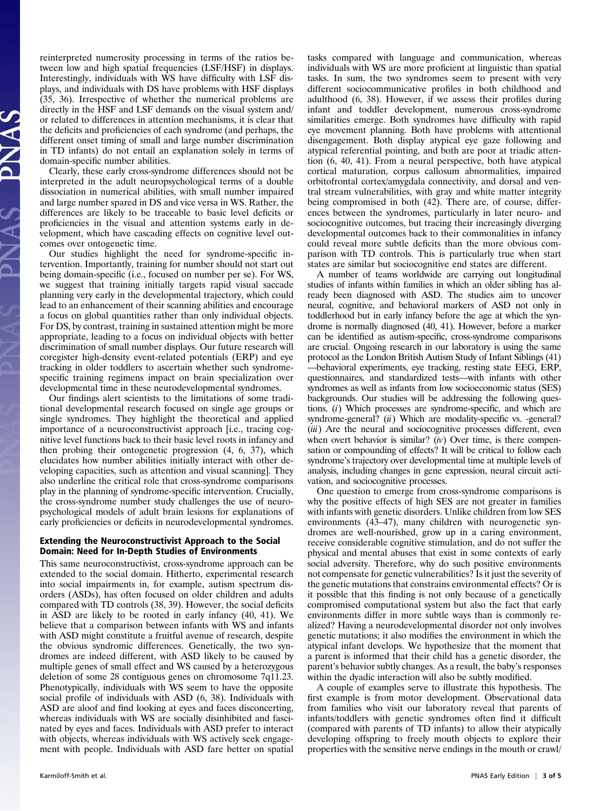reinterpreted numerosity processing in terms of the ratios between low and high spatial frequencies (LSF/HSF) in displays. Interestingly, individuals with WS have difficulty with LSF displays, and individuals with DS have problems with HSF displays (35, 36). Irrespective of whether the numerical problems are directly in the HSF and LSF demands on the visual system and/ or related to differences in attention mechanisms, it is clear that the deficits and proficiencies of each syndrome (and perhaps, the different onset timing of small and large number discrimination in TD infants) do not entail an explanation solely in terms of domain-specific number abilities.

Clearly, these early cross-syndrome differences should not be interpreted in the adult neuropsychological terms of a double dissociation in numerical abilities, with small number impaired and large number spared in DS and vice versa in WS. Rather, the differences are likely to be traceable to basic level deficits or proficiencies in the visual and attention systems early in development, which have cascading effects on cognitive level outcomes over ontogenetic time.

Our studies highlight the need for syndrome-specific intervention. Importantly, training for number should not start out being domain-specific (i.e., focused on number per se). For WS, we suggest that training initially targets rapid visual saccade planning very early in the developmental trajectory, which could lead to an enhancement of their scanning abilities and encourage a focus on global quantities rather than only individual objects. For DS, by contrast, training in sustained attention might be more appropriate, leading to a focus on individual objects with better discrimination of small number displays. Our future research will coregister high-density event-related potentials (ERP) and eye tracking in older toddlers to ascertain whether such syndromespecific training regimens impact on brain specialization over developmental time in these neurodevelopmental syndromes.

Our findings alert scientists to the limitations of some traditional developmental research focused on single age groups or single syndromes. They highlight the theoretical and applied importance of a neuroconstructivist approach [i.e., tracing cognitive level functions back to their basic level roots in infancy and then probing their ontogenetic progression (4, 6, 37), which elucidates how number abilities initially interact with other developing capacities, such as attention and visual scanning]. They also underline the critical role that cross-syndrome comparisons play in the planning of syndrome-specific intervention. Crucially, the cross-syndrome number study challenges the use of neuropsychological models of adult brain lesions for explanations of early proficiencies or deficits in neurodevelopmental syndromes.

#### Extending the Neuroconstructivist Approach to the Social Domain: Need for In-Depth Studies of Environments

This same neuroconstructivist, cross-syndrome approach can be extended to the social domain. Hitherto, experimental research into social impairments in, for example, autism spectrum disorders (ASDs), has often focused on older children and adults compared with TD controls (38, 39). However, the social deficits in ASD are likely to be rooted in early infancy (40, 41). We believe that a comparison between infants with WS and infants with ASD might constitute a fruitful avenue of research, despite the obvious syndromic differences. Genetically, the two syndromes are indeed different, with ASD likely to be caused by multiple genes of small effect and WS caused by a heterozygous deletion of some 28 contiguous genes on chromosome 7q11.23. Phenotypically, individuals with WS seem to have the opposite social profile of individuals with ASD (6, 38). Individuals with ASD are aloof and find looking at eyes and faces disconcerting, whereas individuals with WS are socially disinhibited and fascinated by eyes and faces. Individuals with ASD prefer to interact with objects, whereas individuals with WS actively seek engagement with people. Individuals with ASD fare better on spatial tasks compared with language and communication, whereas individuals with WS are more proficient at linguistic than spatial tasks. In sum, the two syndromes seem to present with very different sociocommunicative profiles in both childhood and adulthood (6, 38). However, if we assess their profiles during infant and toddler development, numerous cross-syndrome similarities emerge. Both syndromes have difficulty with rapid eye movement planning. Both have problems with attentional disengagement. Both display atypical eye gaze following and atypical referential pointing, and both are poor at triadic attention (6, 40, 41). From a neural perspective, both have atypical cortical maturation, corpus callosum abnormalities, impaired orbitofrontal cortex/amygdala connectivity, and dorsal and ventral stream vulnerabilities, with gray and white matter integrity being compromised in both (42). There are, of course, differences between the syndromes, particularly in later neuro- and sociocognitive outcomes, but tracing their increasingly diverging developmental outcomes back to their commonalities in infancy could reveal more subtle deficits than the more obvious comparison with TD controls. This is particularly true when start states are similar but sociocognitive end states are different.

A number of teams worldwide are carrying out longitudinal studies of infants within families in which an older sibling has already been diagnosed with ASD. The studies aim to uncover neural, cognitive, and behavioral markers of ASD not only in toddlerhood but in early infancy before the age at which the syndrome is normally diagnosed (40, 41). However, before a marker can be identified as autism-specific, cross-syndrome comparisons are crucial. Ongoing research in our laboratory is using the same protocol as the London British Autism Study of Infant Siblings (41) —behavioral experiments, eye tracking, resting state EEG, ERP, questionnaires, and standardized tests—with infants with other syndromes as well as infants from low socioeconomic status (SES) backgrounds. Our studies will be addressing the following questions. (i) Which processes are syndrome-specific, and which are syndrome-general? (ii) Which are modality-specific vs. -general? (*iii*) Are the neural and sociocognitive processes different, even when overt behavior is similar?  $(iv)$  Over time, is there compensation or compounding of effects? It will be critical to follow each syndrome's trajectory over developmental time at multiple levels of analysis, including changes in gene expression, neural circuit activation, and sociocognitive processes.

One question to emerge from cross-syndrome comparisons is why the positive effects of high SES are not greater in families with infants with genetic disorders. Unlike children from low SES environments (43–47), many children with neurogenetic syndromes are well-nourished, grow up in a caring environment, receive considerable cognitive stimulation, and do not suffer the physical and mental abuses that exist in some contexts of early social adversity. Therefore, why do such positive environments not compensate for genetic vulnerabilities? Is it just the severity of the genetic mutations that constrains environmental effects? Or is it possible that this finding is not only because of a genetically compromised computational system but also the fact that early environments differ in more subtle ways than is commonly realized? Having a neurodevelopmental disorder not only involves genetic mutations; it also modifies the environment in which the atypical infant develops. We hypothesize that the moment that a parent is informed that their child has a genetic disorder, the parent's behavior subtly changes. As a result, the baby's responses within the dyadic interaction will also be subtly modified.

A couple of examples serve to illustrate this hypothesis. The first example is from motor development. Observational data from families who visit our laboratory reveal that parents of infants/toddlers with genetic syndromes often find it difficult (compared with parents of TD infants) to allow their atypically developing offspring to freely mouth objects to explore their properties with the sensitive nerve endings in the mouth or crawl/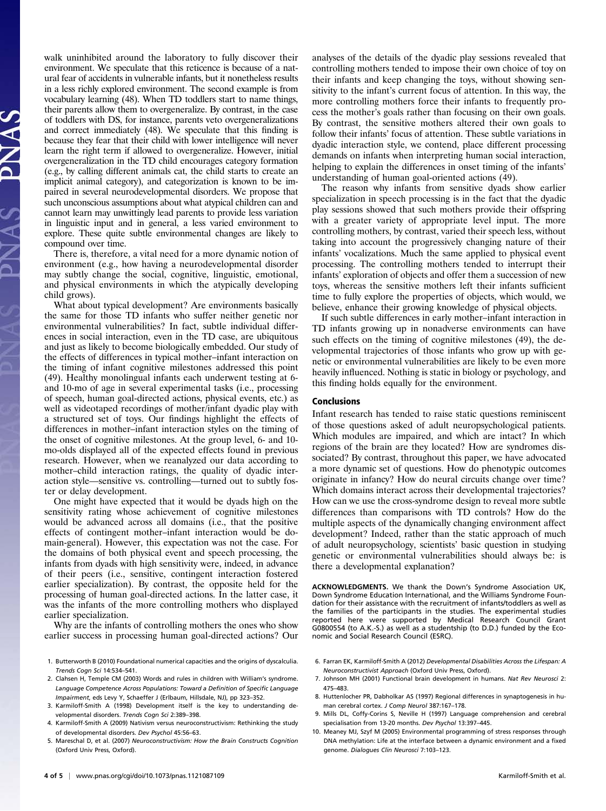walk uninhibited around the laboratory to fully discover their environment. We speculate that this reticence is because of a natural fear of accidents in vulnerable infants, but it nonetheless results in a less richly explored environment. The second example is from vocabulary learning (48). When TD toddlers start to name things, their parents allow them to overgeneralize. By contrast, in the case of toddlers with DS, for instance, parents veto overgeneralizations and correct immediately (48). We speculate that this finding is because they fear that their child with lower intelligence will never learn the right term if allowed to overgeneralize. However, initial overgeneralization in the TD child encourages category formation (e.g., by calling different animals cat, the child starts to create an implicit animal category), and categorization is known to be impaired in several neurodevelopmental disorders. We propose that such unconscious assumptions about what atypical children can and cannot learn may unwittingly lead parents to provide less variation in linguistic input and in general, a less varied environment to explore. These quite subtle environmental changes are likely to compound over time.

There is, therefore, a vital need for a more dynamic notion of environment (e.g., how having a neurodevelopmental disorder may subtly change the social, cognitive, linguistic, emotional, and physical environments in which the atypically developing child grows).

What about typical development? Are environments basically the same for those TD infants who suffer neither genetic nor environmental vulnerabilities? In fact, subtle individual differences in social interaction, even in the TD case, are ubiquitous and just as likely to become biologically embedded. Our study of the effects of differences in typical mother–infant interaction on the timing of infant cognitive milestones addressed this point (49). Healthy monolingual infants each underwent testing at 6 and 10-mo of age in several experimental tasks (i.e., processing of speech, human goal-directed actions, physical events, etc.) as well as videotaped recordings of mother/infant dyadic play with a structured set of toys. Our findings highlight the effects of differences in mother–infant interaction styles on the timing of the onset of cognitive milestones. At the group level, 6- and 10 mo-olds displayed all of the expected effects found in previous research. However, when we reanalyzed our data according to mother–child interaction ratings, the quality of dyadic interaction style—sensitive vs. controlling—turned out to subtly foster or delay development.

One might have expected that it would be dyads high on the sensitivity rating whose achievement of cognitive milestones would be advanced across all domains (i.e., that the positive effects of contingent mother–infant interaction would be domain-general). However, this expectation was not the case. For the domains of both physical event and speech processing, the infants from dyads with high sensitivity were, indeed, in advance of their peers (i.e., sensitive, contingent interaction fostered earlier specialization). By contrast, the opposite held for the processing of human goal-directed actions. In the latter case, it was the infants of the more controlling mothers who displayed earlier specialization.

Why are the infants of controlling mothers the ones who show earlier success in processing human goal-directed actions? Our

- 1. Butterworth B (2010) Foundational numerical capacities and the origins of dyscalculia. Trends Cogn Sci 14:534–541.
- 2. Clahsen H, Temple CM (2003) Words and rules in children with William's syndrome. Language Competence Across Populations: Toward a Definition of Specific Language Impairment, eds Levy Y, Schaeffer J (Erlbaum, Hillsdale, NJ), pp 323–352.
- 3. Karmiloff-Smith A (1998) Development itself is the key to understanding developmental disorders. Trends Cogn Sci 2:389–398.
- 4. Karmiloff-Smith A (2009) Nativism versus neuroconstructivism: Rethinking the study of developmental disorders. Dev Psychol 45:56–63.
- 5. Mareschal D, et al. (2007) Neuroconstructivism: How the Brain Constructs Cognition (Oxford Univ Press, Oxford).

analyses of the details of the dyadic play sessions revealed that controlling mothers tended to impose their own choice of toy on their infants and keep changing the toys, without showing sensitivity to the infant's current focus of attention. In this way, the more controlling mothers force their infants to frequently process the mother's goals rather than focusing on their own goals. By contrast, the sensitive mothers altered their own goals to follow their infants' focus of attention. These subtle variations in dyadic interaction style, we contend, place different processing demands on infants when interpreting human social interaction, helping to explain the differences in onset timing of the infants' understanding of human goal-oriented actions (49).

The reason why infants from sensitive dyads show earlier specialization in speech processing is in the fact that the dyadic play sessions showed that such mothers provide their offspring with a greater variety of appropriate level input. The more controlling mothers, by contrast, varied their speech less, without taking into account the progressively changing nature of their infants' vocalizations. Much the same applied to physical event processing. The controlling mothers tended to interrupt their infants' exploration of objects and offer them a succession of new toys, whereas the sensitive mothers left their infants sufficient time to fully explore the properties of objects, which would, we believe, enhance their growing knowledge of physical objects.

If such subtle differences in early mother–infant interaction in TD infants growing up in nonadverse environments can have such effects on the timing of cognitive milestones (49), the developmental trajectories of those infants who grow up with genetic or environmental vulnerabilities are likely to be even more heavily influenced. Nothing is static in biology or psychology, and this finding holds equally for the environment.

#### Conclusions

Infant research has tended to raise static questions reminiscent of those questions asked of adult neuropsychological patients. Which modules are impaired, and which are intact? In which regions of the brain are they located? How are syndromes dissociated? By contrast, throughout this paper, we have advocated a more dynamic set of questions. How do phenotypic outcomes originate in infancy? How do neural circuits change over time? Which domains interact across their developmental trajectories? How can we use the cross-syndrome design to reveal more subtle differences than comparisons with TD controls? How do the multiple aspects of the dynamically changing environment affect development? Indeed, rather than the static approach of much of adult neuropsychology, scientists' basic question in studying genetic or environmental vulnerabilities should always be: is there a developmental explanation?

ACKNOWLEDGMENTS. We thank the Down's Syndrome Association UK, Down Syndrome Education International, and the Williams Syndrome Foundation for their assistance with the recruitment of infants/toddlers as well as the families of the participants in the studies. The experimental studies reported here were supported by Medical Research Council Grant G0800554 (to A.K.-S.) as well as a studentship (to D.D.) funded by the Economic and Social Research Council (ESRC).

- 6. Farran EK, Karmiloff-Smith A (2012) Developmental Disabilities Across the Lifespan: A Neuroconstructivist Approach (Oxford Univ Press, Oxford).
- 7. Johnson MH (2001) Functional brain development in humans. Nat Rev Neurosci 2: 475–483.
- 8. Huttenlocher PR, Dabholkar AS (1997) Regional differences in synaptogenesis in human cerebral cortex. J Comp Neurol 387:167–178.
- 9. Mills DL, Coffy-Corins S, Neville H (1997) Language comprehension and cerebral specialisation from 13-20 months. Dev Psychol 13:397–445.
- 10. Meaney MJ, Szyf M (2005) Environmental programming of stress responses through DNA methylation: Life at the interface between a dynamic environment and a fixed genome. Dialogues Clin Neurosci 7:103–123.